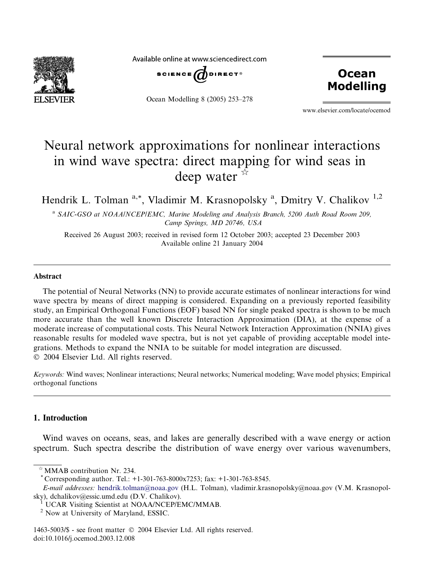

Available online at www.sciencedirect.com



Ocean Modelling 8 (2005) 253–278

**Ocean Modelling** 

www.elsevier.com/locate/ocemod

# Neural network approximations for nonlinear interactions in wind wave spectra: direct mapping for wind seas in deep water  $\mathbb{R}$

Hendrik L. Tolman<sup>a,\*</sup>, Vladimir M. Krasnopolsky<sup>a</sup>, Dmitry V. Chalikov<sup>1,2</sup>

<sup>a</sup> SAIC-GSO at NOAA/NCEP/EMC, Marine Modeling and Analysis Branch, 5200 Auth Road Room 209, Camp Springs, MD 20746, USA

Received 26 August 2003; received in revised form 12 October 2003; accepted 23 December 2003 Available online 21 January 2004

#### Abstract

The potential of Neural Networks (NN) to provide accurate estimates of nonlinear interactions for wind wave spectra by means of direct mapping is considered. Expanding on a previously reported feasibility study, an Empirical Orthogonal Functions (EOF) based NN for single peaked spectra is shown to be much more accurate than the well known Discrete Interaction Approximation (DIA), at the expense of a moderate increase of computational costs. This Neural Network Interaction Approximation (NNIA) gives reasonable results for modeled wave spectra, but is not yet capable of providing acceptable model integrations. Methods to expand the NNIA to be suitable for model integration are discussed. 2004 Elsevier Ltd. All rights reserved.

Keywords: Wind waves; Nonlinear interactions; Neural networks; Numerical modeling; Wave model physics; Empirical orthogonal functions

# 1. Introduction

Wind waves on oceans, seas, and lakes are generally described with a wave energy or action spectrum. Such spectra describe the distribution of wave energy over various wavenumbers,

1463-5003/\$ - see front matter  $\degree$  2004 Elsevier Ltd. All rights reserved. doi:10.1016/j.ocemod.2003.12.008

 $*$  MMAB contribution Nr. 234.

<sup>\*</sup> Corresponding author. Tel.:  $+1-301-763-8000x7253$ ; fax:  $+1-301-763-8545$ .

E-mail addresses: [hendrik.tolman@noaa.gov](mail to: hendrik.tolman@noaa.gov) (H.L. Tolman), vladimir.krasnopolsky@noaa.gov (V.M. Krasnopolsky), dchalikov@essic.umd.edu (D.V. Chalikov).<br><sup>1</sup> UCAR Visiting Scientist at NOAA/NCEP/EMC/MMAB.

<sup>&</sup>lt;sup>2</sup> Now at University of Maryland, ESSIC.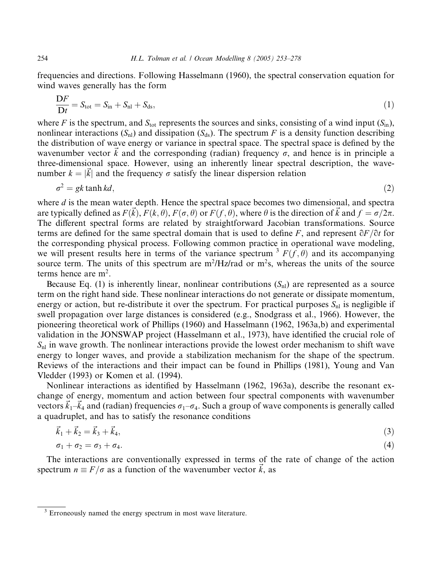frequencies and directions. Following Hasselmann (1960), the spectral conservation equation for wind waves generally has the form

$$
\frac{\mathbf{D}F}{\mathbf{D}t} = S_{\text{tot}} = S_{\text{in}} + S_{\text{nl}} + S_{\text{ds}},\tag{1}
$$

where F is the spectrum, and  $S_{\text{tot}}$  represents the sources and sinks, consisting of a wind input  $(S_{\text{in}})$ , nonlinear interactions  $(S_{nl})$  and dissipation  $(S_{ds})$ . The spectrum F is a density function describing the distribution of wave energyor variance in spectral space. The spectral space is defined bythe wavenumber vector  $\vec{k}$  and the corresponding (radian) frequency  $\sigma$ , and hence is in principle a three-dimensional space. However, using an inherently linear spectral description, the wavenumber  $k = |k|$  and the frequency  $\sigma$  satisfy the linear dispersion relation

$$
\sigma^2 = gk \tanh kd,\tag{2}
$$

where  $d$  is the mean water depth. Hence the spectral space becomes two dimensional, and spectra are typically defined as  $F(\vec{k}), F(k, \theta), F(\sigma, \theta)$  or  $F(f, \theta)$ , where  $\theta$  is the direction of  $\vec{k}$  and  $f = \sigma/2\pi$ . The different spectral forms are related by straightforward Jacobian transformations. Source terms are defined for the same spectral domain that is used to define F, and represent  $\partial F/\partial t$  for the corresponding physical process. Following common practice in operational wave modeling, we will present results here in terms of the variance spectrum  $\frac{3F(f, \theta)}{2}$  and its accompanying source term. The units of this spectrum are  $m^2/Hz/rad$  or  $m^2s$ , whereas the units of the source terms hence are  $m<sup>2</sup>$ .

Because Eq. (1) is inherently linear, nonlinear contributions  $(S<sub>nl</sub>)$  are represented as a source term on the right hand side. These nonlinear interactions do not generate or dissipate momentum, energy or action, but re-distribute it over the spectrum. For practical purposes  $S<sub>nl</sub>$  is negligible if swell propagation over large distances is considered (e.g., Snodgrass et al., 1966). However, the pioneering theoretical work of Phillips (1960) and Hasselmann (1962, 1963a,b) and experimental validation in the JONSWAP project (Hasselmann et al., 1973), have identified the crucial role of  $S<sub>nl</sub>$  in wave growth. The nonlinear interactions provide the lowest order mechanism to shift wave energyto longer waves, and provide a stabilization mechanism for the shape of the spectrum. Reviews of the interactions and their impact can be found in Phillips (1981), Young and Van Vledder (1993) or Komen et al. (1994).

Nonlinear interactions as identified by Hasselmann (1962, 1963a), describe the resonant exchange of energy, momentum and action between four spectral components with wavenumber vectors  $\vec{k}_1-\vec{k}_4$  and (radian) frequencies  $\sigma_1-\sigma_4$ . Such a group of wave components is generally called a quadruplet, and has to satisfy the resonance conditions

$$
\vec{k}_1 + \vec{k}_2 = \vec{k}_3 + \vec{k}_4,\tag{3}
$$

$$
\sigma_1 + \sigma_2 = \sigma_3 + \sigma_4. \tag{4}
$$

The interactions are conventionally expressed in terms of the rate of change of the action spectrum  $n \equiv F/\sigma$  as a function of the wavenumber vector  $\vec{k}$ , as

<sup>&</sup>lt;sup>3</sup> Erroneously named the energy spectrum in most wave literature.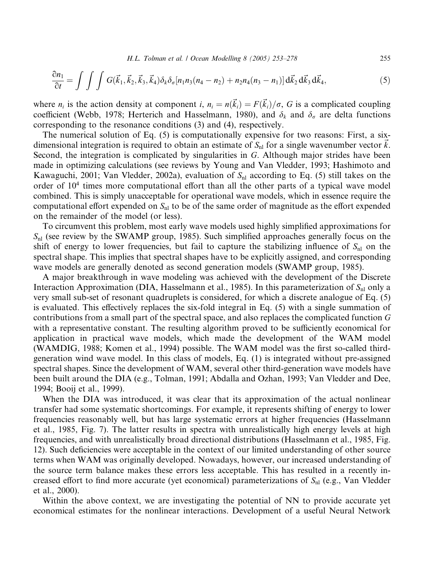H.L. Tolman et al. / Ocean Modelling 8 (2005) 253–278 255

$$
\frac{\partial n_1}{\partial t} = \int \int \int G(\vec{k}_1, \vec{k}_2, \vec{k}_3, \vec{k}_4) \delta_k \delta_{\sigma} [n_1 n_3 (n_4 - n_2) + n_2 n_4 (n_3 - n_1)] d\vec{k}_2 d\vec{k}_3 d\vec{k}_4,
$$
\n(5)

where  $n_i$  is the action density at component i,  $n_i = n(\vec{k}_i) = F(\vec{k}_i)/\sigma$ , G is a complicated coupling coefficient (Webb, 1978; Herterich and Hasselmann, 1980), and  $\delta_k$  and  $\delta_{\sigma}$  are delta functions corresponding to the resonance conditions (3) and (4), respectively.

The numerical solution of Eq. (5) is computationally expensive for two reasons: First, a sixdimensional integration is required to obtain an estimate of  $S<sub>nl</sub>$  for a single wavenumber vector  $k$ . Second, the integration is complicated by singularities in G. Although major strides have been made in optimizing calculations (see reviews byYoung and Van Vledder, 1993; Hashimoto and Kawaguchi, 2001; Van Vledder, 2002a), evaluation of  $S<sub>nl</sub>$  according to Eq. (5) still takes on the order of  $10<sup>4</sup>$  times more computational effort than all the other parts of a typical wave model combined. This is simplyunacceptable for operational wave models, which in essence require the computational effort expended on  $S<sub>nl</sub>$  to be of the same order of magnitude as the effort expended on the remainder of the model (or less).

To circumvent this problem, most earlywave models used highlysimplified approximations for  $S<sub>nl</sub>$  (see review by the SWAMP group, 1985). Such simplified approaches generally focus on the shift of energy to lower frequencies, but fail to capture the stabilizing influence of  $S<sub>nl</sub>$  on the spectral shape. This implies that spectral shapes have to be explicitly assigned, and corresponding wave models are generally denoted as second generation models (SWAMP group, 1985).

A major breakthrough in wave modeling was achieved with the development of the Discrete Interaction Approximation (DIA, Hasselmann et al., 1985). In this parameterization of  $S<sub>nl</sub>$  only a verysmall sub-set of resonant quadruplets is considered, for which a discrete analogue of Eq. (5) is evaluated. This effectively replaces the six-fold integral in Eq.  $(5)$  with a single summation of contributions from a small part of the spectral space, and also replaces the complicated function G with a representative constant. The resulting algorithm proved to be sufficiently economical for application in practical wave models, which made the development of the WAM model (WAMDIG, 1988; Komen et al., 1994) possible. The WAM model was the first so-called thirdgeneration wind wave model. In this class of models, Eq. (1) is integrated without pre-assigned spectral shapes. Since the development of WAM, several other third-generation wave models have been built around the DIA (e.g., Tolman, 1991; Abdalla and Ozhan, 1993; Van Vledder and Dee, 1994; Booij et al., 1999).

When the DIA was introduced, it was clear that its approximation of the actual nonlinear transfer had some systematic shortcomings. For example, it represents shifting of energy to lower frequencies reasonablywell, but has large systematic errors at higher frequencies (Hasselmann et al., 1985, Fig. 7). The latter results in spectra with unrealistically high energy levels at high frequencies, and with unrealistically broad directional distributions (Hasselmann et al., 1985, Fig. 12). Such deficiencies were acceptable in the context of our limited understanding of other source terms when WAM was originally developed. Nowadays, however, our increased understanding of the source term balance makes these errors less acceptable. This has resulted in a recently increased effort to find more accurate (yet economical) parameterizations of  $S<sub>nl</sub>$  (e.g., Van Vledder et al., 2000).

Within the above context, we are investigating the potential of NN to provide accurate yet economical estimates for the nonlinear interactions. Development of a useful Neural Network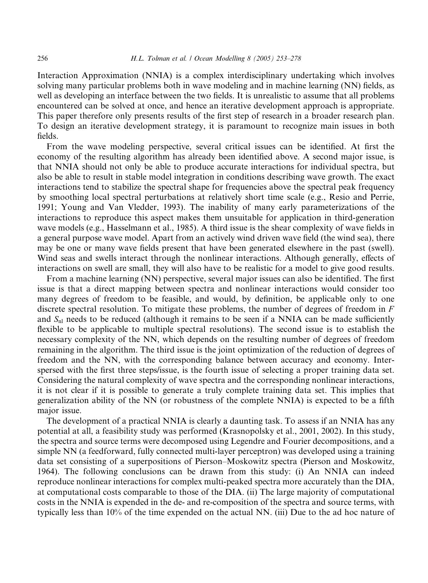Interaction Approximation (NNIA) is a complex interdisciplinary undertaking which involves solving many particular problems both in wave modeling and in machine learning (NN) fields, as well as developing an interface between the two fields. It is unrealistic to assume that all problems encountered can be solved at once, and hence an iterative development approach is appropriate. This paper therefore only presents results of the first step of research in a broader research plan. To design an iterative development strategy, it is paramount to recognize main issues in both fields.

From the wave modeling perspective, several critical issues can be identified. At first the economy of the resulting algorithm has already been identified above. A second major issue, is that NNIA should not onlybe able to produce accurate interactions for individual spectra, but also be able to result in stable model integration in conditions describing wave growth. The exact interactions tend to stabilize the spectral shape for frequencies above the spectral peak frequency bysmoothing local spectral perturbations at relativelyshort time scale (e.g., Resio and Perrie, 1991; Young and Van Vledder, 1993). The inability of many early parameterizations of the interactions to reproduce this aspect makes them unsuitable for application in third-generation wave models (e.g., Hasselmann et al., 1985). A third issue is the shear complexityof wave fields in a general purpose wave model. Apart from an activelywind driven wave field (the wind sea), there maybe one or manywave fields present that have been generated elsewhere in the past (swell). Wind seas and swells interact through the nonlinear interactions. Although generally, effects of interactions on swell are small, theywill also have to be realistic for a model to give good results.

From a machine learning (NN) perspective, several major issues can also be identified. The first issue is that a direct mapping between spectra and nonlinear interactions would consider too many degrees of freedom to be feasible, and would, by definition, be applicable only to one discrete spectral resolution. To mitigate these problems, the number of degrees of freedom in  $F$ and  $S<sub>nl</sub>$  needs to be reduced (although it remains to be seen if a NNIA can be made sufficiently flexible to be applicable to multiple spectral resolutions). The second issue is to establish the necessarycomplexityof the NN, which depends on the resulting number of degrees of freedom remaining in the algorithm. The third issue is the joint optimization of the reduction of degrees of freedom and the NN, with the corresponding balance between accuracyand economy. Interspersed with the first three steps/issue, is the fourth issue of selecting a proper training data set. Considering the natural complexityof wave spectra and the corresponding nonlinear interactions, it is not clear if it is possible to generate a trulycomplete training data set. This implies that generalization abilityof the NN (or robustness of the complete NNIA) is expected to be a fifth major issue.

The development of a practical NNIA is clearlya daunting task. To assess if an NNIA has any potential at all, a feasibility study was performed (Krasnopolsky et al., 2001, 2002). In this study, the spectra and source terms were decomposed using Legendre and Fourier decompositions, and a simple NN (a feedforward, fully connected multi-layer perceptron) was developed using a training data set consisting of a superpositions of Pierson–Moskowitz spectra (Pierson and Moskowitz, 1964). The following conclusions can be drawn from this study: (i) An NNIA can indeed reproduce nonlinear interactions for complex multi-peaked spectra more accuratelythan the DIA, at computational costs comparable to those of the DIA. (ii) The large majorityof computational costs in the NNIA is expended in the de- and re-composition of the spectra and source terms, with typically less than 10% of the time expended on the actual NN. (iii) Due to the ad hoc nature of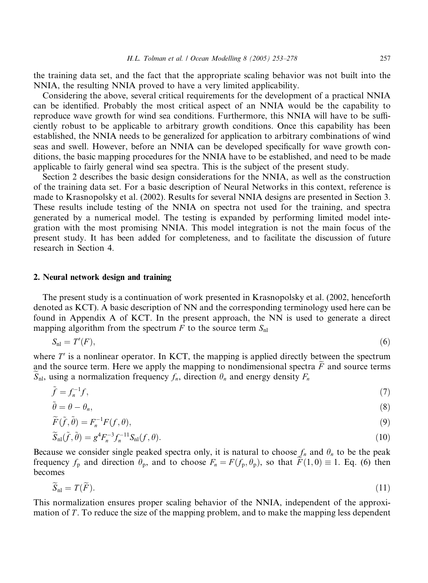the training data set, and the fact that the appropriate scaling behavior was not built into the NNIA, the resulting NNIA proved to have a verylimited applicability.

Considering the above, several critical requirements for the development of a practical NNIA can be identified. Probably the most critical aspect of an NNIA would be the capability to reproduce wave growth for wind sea conditions. Furthermore, this NNIA will have to be sufficiently robust to be applicable to arbitrary growth conditions. Once this capability has been established, the NNIA needs to be generalized for application to arbitrarycombinations of wind seas and swell. However, before an NNIA can be developed specifically for wave growth conditions, the basic mapping procedures for the NNIA have to be established, and need to be made applicable to fairly general wind sea spectra. This is the subject of the present study.

Section 2 describes the basic design considerations for the NNIA, as well as the construction of the training data set. For a basic description of Neural Networks in this context, reference is made to Krasnopolskyet al. (2002). Results for several NNIA designs are presented in Section 3. These results include testing of the NNIA on spectra not used for the training, and spectra generated by a numerical model. The testing is expanded by performing limited model integration with the most promising NNIA. This model integration is not the main focus of the present study. It has been added for completeness, and to facilitate the discussion of future research in Section 4.

## 2. Neural network design and training

The present study is a continuation of work presented in Krasnopolsky et al. (2002, henceforth denoted as KCT). A basic description of NN and the corresponding terminologyused here can be found in Appendix A of KCT. In the present approach, the NN is used to generate a direct mapping algorithm from the spectrum  $F$  to the source term  $S<sub>nl</sub>$ 

$$
S_{\rm nl} = T'(F),\tag{6}
$$

where  $T'$  is a nonlinear operator. In KCT, the mapping is applied directly between the spectrum and the source term. Here we apply the mapping to nondimensional spectra  $F$  and source terms  $\widetilde{S}_{nl}$ , using a normalization frequency  $f_n$ , direction  $\theta_n$  and energy density  $F_n$ 

$$
\tilde{f} = f_n^{-1} f,\tag{7}
$$

$$
\tilde{\theta} = \theta - \theta_n,\tag{8}
$$

$$
\widetilde{F}(\widetilde{f},\widetilde{\theta}) = F_n^{-1}F(f,\theta),\tag{9}
$$

$$
\widetilde{S}_{\rm nl}(\widetilde{f}, \widetilde{\theta}) = g^4 F_n^{-3} f_n^{-11} S_{\rm nl}(f, \theta). \tag{10}
$$

Because we consider single peaked spectra only, it is natural to choose  $f_n$  and  $\theta_n$  to be the peak frequency  $f_p$  and direction  $\theta_p$ , and to choose  $F_n = F(f_p, \theta_p)$ , so that  $F(1, 0) \equiv 1$ . Eq. (6) then becomes

$$
S_{\rm nl} = T(F). \tag{11}
$$

This normalization ensures proper scaling behavior of the NNIA, independent of the approximation of  $T$ . To reduce the size of the mapping problem, and to make the mapping less dependent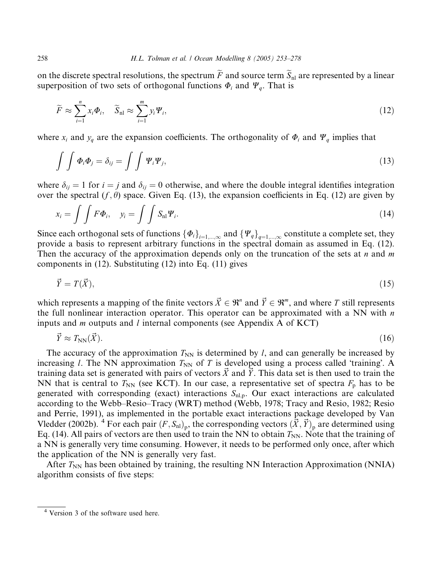on the discrete spectral resolutions, the spectrum  $F$  and source term  $S<sub>nl</sub>$  are represented by a linear superposition of two sets of orthogonal functions  $\Phi_i$  and  $\Psi_a$ . That is

$$
\widetilde{F} \approx \sum_{i=1}^{n} x_i \Phi_i, \quad \widetilde{S}_{\rm nl} \approx \sum_{i=1}^{m} y_i \Psi_i,
$$
\n(12)

where  $x_i$  and  $y_q$  are the expansion coefficients. The orthogonality of  $\Phi_i$  and  $\Psi_q$  implies that

$$
\int \int \Phi_i \Phi_j = \delta_{ij} = \int \int \Psi_i \Psi_j,
$$
\n(13)

where  $\delta_{ij} = 1$  for  $i = j$  and  $\delta_{ij} = 0$  otherwise, and where the double integral identifies integration over the spectral  $(f, \theta)$  space. Given Eq. (13), the expansion coefficients in Eq. (12) are given by

$$
x_i = \int \int F \Phi_i, \quad y_i = \int \int S_{\rm nl} \Psi_i.
$$
 (14)

Since each orthogonal sets of functions  $\{\Phi_i\}_{i=1,\dots,\infty}$  and  $\{\Psi_q\}_{q=1,\dots,\infty}$  constitute a complete set, they provide a basis to represent arbitrary functions in the spectral domain as assumed in Eq. (12). Then the accuracy of the approximation depends only on the truncation of the sets at n and m components in (12). Substituting (12) into Eq. (11) gives

$$
\vec{Y} = T(\vec{X}),\tag{15}
$$

which represents a mapping of the finite vectors  $\vec{X} \in \mathbb{R}^n$  and  $\vec{Y} \in \mathbb{R}^m$ , and where T still represents the full nonlinear interaction operator. This operator can be approximated with a NN with  $n$ inputs and  $m$  outputs and  $l$  internal components (see Appendix A of KCT)

$$
\vec{Y} \approx T_{\text{NN}}(\vec{X}).\tag{16}
$$

The accuracy of the approximation  $T_{NN}$  is determined by l, and can generally be increased by increasing *l*. The NN approximation  $T_{NN}$  of T is developed using a process called 'training'. A training data set is generated with pairs of vectors  $\vec{X}$  and  $\vec{Y}$ . This data set is then used to train the NN that is central to  $T_{NN}$  (see KCT). In our case, a representative set of spectra  $F_p$  has to be generated with corresponding (exact) interactions  $S_{nl,p}$ . Our exact interactions are calculated according to the Webb–Resio–Tracy(WRT) method (Webb, 1978; Tracyand Resio, 1982; Resio and Perrie, 1991), as implemented in the portable exact interactions package developed by Van Vledder (2002b). <sup>4</sup> For each pair  $(F, S_{nl})_p$ , the corresponding vectors  $(\vec{\bar{X}}, \vec{Y})_p$  are determined using Eq. (14). All pairs of vectors are then used to train the NN to obtain  $T_{NN}$ . Note that the training of a NN is generally very time consuming. However, it needs to be performed only once, after which the application of the NN is generally very fast.

After  $T_{NN}$  has been obtained by training, the resulting NN Interaction Approximation (NNIA) algorithm consists of five steps:

<sup>4</sup> Version 3 of the software used here.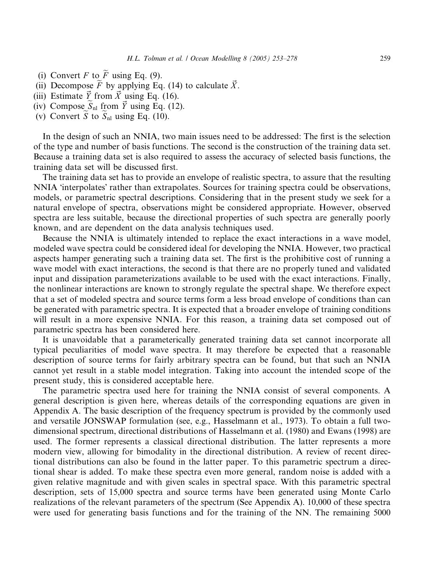- (i) Convert F to F using Eq. (9).
- (ii) Decompose  $\tilde{F}$  by applying Eq. (14) to calculate  $\vec{X}$ .
- (iii) Estimate  $\vec{Y}$  from  $\vec{X}$  using Eq. (16).
- (iv) Compose  $\widetilde{S}_{nl}$  from  $\vec{Y}$  using Eq. (12).
- (v) Convert  $\tilde{S}$  to  $\tilde{S}_{nl}$  using Eq. (10).

In the design of such an NNIA, two main issues need to be addressed: The first is the selection of the type and number of basis functions. The second is the construction of the training data set. Because a training data set is also required to assess the accuracy of selected basis functions, the training data set will be discussed first.

The training data set has to provide an envelope of realistic spectra, to assure that the resulting NNIA 'interpolates' rather than extrapolates. Sources for training spectra could be observations, models, or parametric spectral descriptions. Considering that in the present study we seek for a natural envelope of spectra, observations might be considered appropriate. However, observed spectra are less suitable, because the directional properties of such spectra are generally poorly known, and are dependent on the data analysis techniques used.

Because the NNIA is ultimately intended to replace the exact interactions in a wave model, modeled wave spectra could be considered ideal for developing the NNIA. However, two practical aspects hamper generating such a training data set. The first is the prohibitive cost of running a wave model with exact interactions, the second is that there are no properlytuned and validated input and dissipation parameterizations available to be used with the exact interactions. Finally, the nonlinear interactions are known to stronglyregulate the spectral shape. We therefore expect that a set of modeled spectra and source terms form a less broad envelope of conditions than can be generated with parametric spectra. It is expected that a broader envelope of training conditions will result in a more expensive NNIA. For this reason, a training data set composed out of parametric spectra has been considered here.

It is unavoidable that a parameterically generated training data set cannot incorporate all typical peculiarities of model wave spectra. It may therefore be expected that a reasonable description of source terms for fairly arbitrary spectra can be found, but that such an NNIA cannot yet result in a stable model integration. Taking into account the intended scope of the present study, this is considered acceptable here.

The parametric spectra used here for training the NNIA consist of several components. A general description is given here, whereas details of the corresponding equations are given in Appendix A. The basic description of the frequency spectrum is provided by the commonly used and versatile JONSWAP formulation (see, e.g., Hasselmann et al., 1973). To obtain a full twodimensional spectrum, directional distributions of Hasselmann et al. (1980) and Ewans (1998) are used. The former represents a classical directional distribution. The latter represents a more modern view, allowing for bimodality in the directional distribution. A review of recent directional distributions can also be found in the latter paper. To this parametric spectrum a directional shear is added. To make these spectra even more general, random noise is added with a given relative magnitude and with given scales in spectral space. With this parametric spectral description, sets of 15,000 spectra and source terms have been generated using Monte Carlo realizations of the relevant parameters of the spectrum (See Appendix A). 10,000 of these spectra were used for generating basis functions and for the training of the NN. The remaining 5000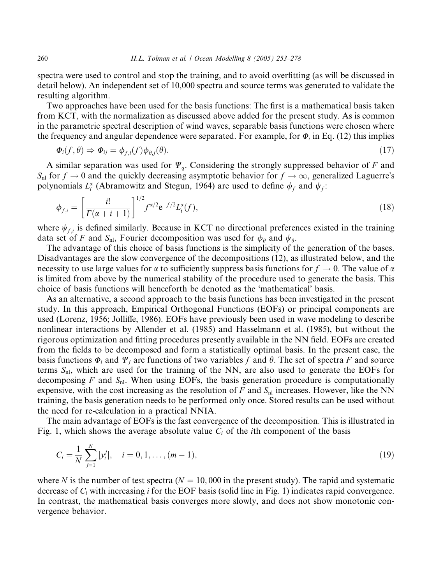spectra were used to control and stop the training, and to avoid overfitting (as will be discussed in detail below). An independent set of 10,000 spectra and source terms was generated to validate the resulting algorithm.

Two approaches have been used for the basis functions: The first is a mathematical basis taken from KCT, with the normalization as discussed above added for the present study. As is common in the parametric spectral description of wind waves, separable basis functions were chosen where the frequency and angular dependence were separated. For example, for  $\Phi_i$  in Eq. (12) this implies

$$
\Phi_i(f,\theta) \Rightarrow \Phi_{ij} = \phi_{f,i}(f)\phi_{\theta,j}(\theta). \tag{17}
$$

A similar separation was used for  $\Psi_q$ . Considering the strongly suppressed behavior of F and  $S_{nl}$  for  $f \to 0$  and the quickly decreasing asymptotic behavior for  $f \to \infty$ , generalized Laguerre's polynomials  $L_i^{\alpha}$  (Abramowitz and Stegun, 1964) are used to define  $\phi_f$  and  $\psi_f$ :

$$
\phi_{f,i} = \left[\frac{i!}{\Gamma(\alpha+i+1)}\right]^{1/2} f^{\alpha/2} e^{-f/2} L_i^{\alpha}(f),\tag{18}
$$

where  $\psi_{f,i}$  is defined similarly. Because in KCT no directional preferences existed in the training data set of F and  $S_{nl}$ , Fourier decomposition was used for  $\phi_{\theta}$  and  $\psi_{\theta}$ .

The advantage of this choice of basis functions is the simplicity of the generation of the bases. Disadvantages are the slow convergence of the decompositions (12), as illustrated below, and the necessity to use large values for  $\alpha$  to sufficiently suppress basis functions for  $f \to 0$ . The value of  $\alpha$ is limited from above by the numerical stability of the procedure used to generate the basis. This choice of basis functions will henceforth be denoted as the 'mathematical' basis.

As an alternative, a second approach to the basis functions has been investigated in the present study. In this approach, Empirical Orthogonal Functions (EOFs) or principal components are used (Lorenz, 1956; Jolliffe, 1986). EOFs have previouslybeen used in wave modeling to describe nonlinear interactions byAllender et al. (1985) and Hasselmann et al. (1985), but without the rigorous optimization and fitting procedures presentlyavailable in the NN field. EOFs are created from the fields to be decomposed and form a statisticallyoptimal basis. In the present case, the basis functions  $\Phi_i$  and  $\Psi_j$  are functions of two variables f and  $\theta$ . The set of spectra F and source terms  $S<sub>nl</sub>$ , which are used for the training of the NN, are also used to generate the EOFs for decomposing  $F$  and  $S<sub>nl</sub>$ . When using EOFs, the basis generation procedure is computationally expensive, with the cost increasing as the resolution of F and  $S<sub>nl</sub>$  increases. However, like the NN training, the basis generation needs to be performed onlyonce. Stored results can be used without the need for re-calculation in a practical NNIA.

The main advantage of EOFs is the fast convergence of the decomposition. This is illustrated in Fig. 1, which shows the average absolute value  $C_i$  of the *i*th component of the basis

$$
C_i = \frac{1}{N} \sum_{j=1}^{N} |y_i^j|, \quad i = 0, 1, \dots, (m-1),
$$
\n(19)

where N is the number of test spectra  $(N = 10,000$  in the present study). The rapid and systematic decrease of  $C_i$  with increasing i for the EOF basis (solid line in Fig. 1) indicates rapid convergence. In contrast, the mathematical basis converges more slowly, and does not show monotonic convergence behavior.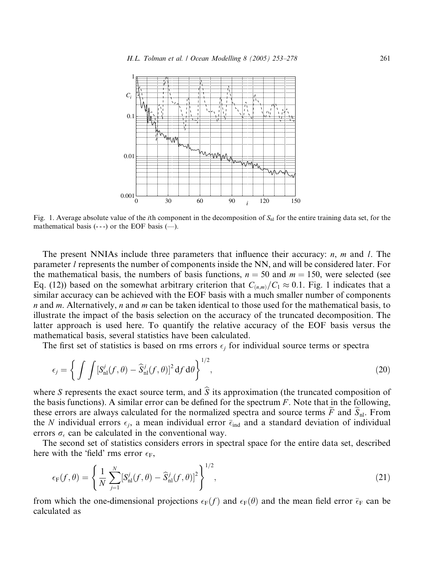

Fig. 1. Average absolute value of the *i*th component in the decomposition of  $S<sub>nl</sub>$  for the entire training data set, for the mathematical basis  $(--)$  or the EOF basis  $(-)$ .

The present NNIAs include three parameters that influence their accuracy:  $n$ ,  $m$  and  $l$ . The parameter l represents the number of components inside the NN, and will be considered later. For the mathematical basis, the numbers of basis functions,  $n = 50$  and  $m = 150$ , were selected (see Eq. (12)) based on the somewhat arbitrary criterion that  $C_{(n,m)}/C_1 \approx 0.1$ . Fig. 1 indicates that a similar accuracy can be achieved with the EOF basis with a much smaller number of components  $n$  and m. Alternatively,  $n$  and  $m$  can be taken identical to those used for the mathematical basis, to illustrate the impact of the basis selection on the accuracyof the truncated decomposition. The latter approach is used here. To quantify the relative accuracy of the EOF basis versus the mathematical basis, several statistics have been calculated.

The first set of statistics is based on rms errors  $\epsilon_i$  for individual source terms or spectra

$$
\epsilon_j = \left\{ \int \int \left[ S_{\rm nl}^j(f,\theta) - \widehat{S}_{\rm nl}^j(f,\theta) \right]^2 \mathrm{d}f \, \mathrm{d}\theta \right\}^{1/2},\tag{20}
$$

where S represents the exact source term, and  $\hat{S}$  its approximation (the truncated composition of the basis functions). A similar error can be defined for the spectrum  $F$ . Note that in the following, these errors are always calculated for the normalized spectra and source terms  $\overline{F}$  and  $S_{nl}$ . From the N individual errors  $\epsilon_i$ , a mean individual error  $\bar{\epsilon}_{ind}$  and a standard deviation of individual errors  $\sigma_{\epsilon}$  can be calculated in the conventional way.

The second set of statistics considers errors in spectral space for the entire data set, described here with the 'field' rms error  $\epsilon_F$ ,

$$
\epsilon_{\mathcal{F}}(f,\theta) = \left\{ \frac{1}{N} \sum_{j=1}^{N} \left[ S_{\rm nl}^{j}(f,\theta) - \widehat{S}_{\rm nl}^{j}(f,\theta) \right]^{2} \right\}^{1/2},\tag{21}
$$

from which the one-dimensional projections  $\epsilon_F(f)$  and  $\epsilon_F(\theta)$  and the mean field error  $\bar{\epsilon}_F$  can be calculated as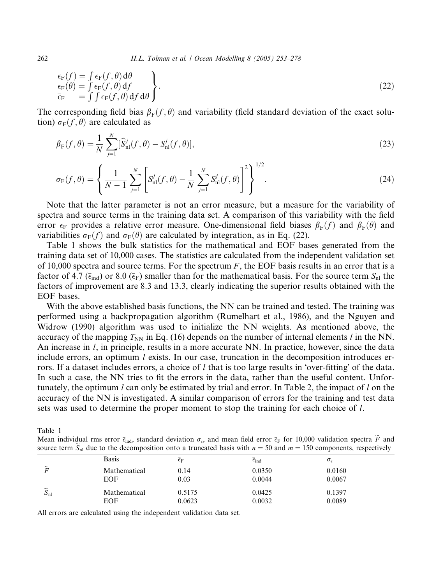$$
\epsilon_{\mathcal{F}}(f) = \int \epsilon_{\mathcal{F}}(f, \theta) d\theta \n\epsilon_{\mathcal{F}}(\theta) = \int \epsilon_{\mathcal{F}}(f, \theta) df \n\bar{\epsilon}_{\mathcal{F}} = \int \int \epsilon_{\mathcal{F}}(f, \theta) df d\theta
$$
\n(22)

The corresponding field bias  $\beta_F(f, \theta)$  and variability (field standard deviation of the exact solution)  $\sigma_F(f, \theta)$  are calculated as

$$
\beta_{\mathcal{F}}(f,\theta) = \frac{1}{N} \sum_{j=1}^{N} [\widehat{S}_{\mathrm{nl}}^{j}(f,\theta) - S_{\mathrm{nl}}^{j}(f,\theta)],
$$
\n(23)

$$
\sigma_{\rm F}(f,\theta) = \left\{ \frac{1}{N-1} \sum_{j=1}^{N} \left[ S_{\rm nl}^{j}(f,\theta) - \frac{1}{N} \sum_{j=1}^{N} S_{\rm nl}^{j}(f,\theta) \right]^{2} \right\}^{1/2}.
$$
\n(24)

Note that the latter parameter is not an error measure, but a measure for the variabilityof spectra and source terms in the training data set. A comparison of this variability with the field error  $\epsilon_F$  provides a relative error measure. One-dimensional field biases  $\beta_F(f)$  and  $\beta_F(\theta)$  and variabilities  $\sigma_F(f)$  and  $\sigma_F(\theta)$  are calculated by integration, as in Eq. (22).

Table 1 shows the bulk statistics for the mathematical and EOF bases generated from the training data set of 10,000 cases. The statistics are calculated from the independent validation set of 10,000 spectra and source terms. For the spectrum  $F$ , the EOF basis results in an error that is a factor of 4.7 ( $\bar{\epsilon}_{ind}$ ) or 8.0 ( $\bar{\epsilon}_{F}$ ) smaller than for the mathematical basis. For the source term  $S_{nl}$  the factors of improvement are 8.3 and 13.3, clearly indicating the superior results obtained with the EOF bases.

With the above established basis functions, the NN can be trained and tested. The training was performed using a backpropagation algorithm (Rumelhart et al., 1986), and the Nguyen and Widrow (1990) algorithm was used to initialize the NN weights. As mentioned above, the accuracy of the mapping  $T_{NN}$  in Eq. (16) depends on the number of internal elements l in the NN. An increase in *l*, in principle, results in a more accurate NN. In practice, however, since the data include errors, an optimum  $l$  exists. In our case, truncation in the decomposition introduces errors. If a dataset includes errors, a choice of  $l$  that is too large results in 'over-fitting' of the data. In such a case, the NN tries to fit the errors in the data, rather than the useful content. Unfortunately, the optimum l can only be estimated by trial and error. In Table 2, the impact of l on the accuracy of the NN is investigated. A similar comparison of errors for the training and test data sets was used to determine the proper moment to stop the training for each choice of l.

| Table 1 |  |  |  |  |  |  |                                                                                                                                                                           |  |  |
|---------|--|--|--|--|--|--|---------------------------------------------------------------------------------------------------------------------------------------------------------------------------|--|--|
|         |  |  |  |  |  |  | Mean individual rms error $\bar{\epsilon}_{ind}$ , standard deviation $\sigma_{\epsilon}$ , and mean field error $\bar{\epsilon}_{F}$ for 10,000 validation spectra F and |  |  |
|         |  |  |  |  |  |  | source term $S_{nl}$ due to the decomposition onto a truncated basis with $n = 50$ and $m = 150$ components, respectively                                                 |  |  |

|                           | <b>Basis</b> | $\epsilon_{\rm F}$ | $\epsilon_{\text{ind}}$ | $\sigma_{\epsilon}$ |
|---------------------------|--------------|--------------------|-------------------------|---------------------|
| $\widetilde{\phantom{m}}$ | Mathematical | 0.14               | 0.0350                  | 0.0160              |
| E                         | EOF          | 0.03               | 0.0044                  | 0.0067              |
| $\widetilde{\phantom{m}}$ | Mathematical | 0.5175             | 0.0425                  | 0.1397              |
| ບnl                       | EOF          | 0.0623             | 0.0032                  | 0.0089              |

All errors are calculated using the independent validation data set.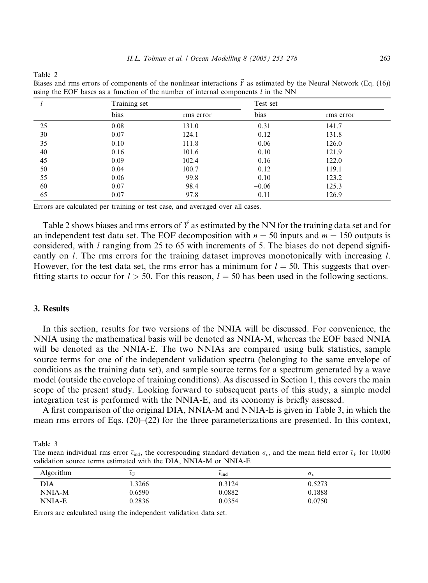|            |           | Test set |           |  |
|------------|-----------|----------|-----------|--|
| bias       | rms error | bias     | rms error |  |
| 0.08<br>25 | 131.0     | 0.31     | 141.7     |  |
| 30<br>0.07 | 124.1     | 0.12     | 131.8     |  |
| 35<br>0.10 | 111.8     | 0.06     | 126.0     |  |
| 40<br>0.16 | 101.6     | 0.10     | 121.9     |  |
| 45<br>0.09 | 102.4     | 0.16     | 122.0     |  |
| 50<br>0.04 | 100.7     | 0.12     | 119.1     |  |
| 55<br>0.06 | 99.8      | 0.10     | 123.2     |  |
| 60<br>0.07 | 98.4      | $-0.06$  | 125.3     |  |
| 65<br>0.07 | 97.8      | 0.11     | 126.9     |  |

Biases and rms errors of components of the nonlinear interactions  $\vec{Y}$  as estimated by the Neural Network (Eq. (16)) using the EOF bases as a function of the number of internal components  $l$  in the NN

Errors are calculated per training or test case, and averaged over all cases.

Table 2 shows biases and rms errors of  $\vec{Y}$  as estimated by the NN for the training data set and for an independent test data set. The EOF decomposition with  $n = 50$  inputs and  $m = 150$  outputs is considered, with  $l$  ranging from 25 to 65 with increments of 5. The biases do not depend significantly on  $l$ . The rms errors for the training dataset improves monotonically with increasing  $l$ . However, for the test data set, the rms error has a minimum for  $l = 50$ . This suggests that overfitting starts to occur for  $l > 50$ . For this reason,  $l = 50$  has been used in the following sections.

# 3. Results

Table 2

In this section, results for two versions of the NNIA will be discussed. For convenience, the NNIA using the mathematical basis will be denoted as NNIA-M, whereas the EOF based NNIA will be denoted as the NNIA-E. The two NNIAs are compared using bulk statistics, sample source terms for one of the independent validation spectra (belonging to the same envelope of conditions as the training data set), and sample source terms for a spectrum generated bya wave model (outside the envelope of training conditions). As discussed in Section 1, this covers the main scope of the present study. Looking forward to subsequent parts of this study, a simple model integration test is performed with the NNIA-E, and its economy is briefly assessed.

A first comparison of the original DIA, NNIA-M and NNIA-E is given in Table 3, in which the mean rms errors of Eqs. (20)–(22) for the three parameterizations are presented. In this context,

Table 3

The mean individual rms error  $\bar{\epsilon}_{ind}$ , the corresponding standard deviation  $\sigma_{\epsilon}$ , and the mean field error  $\bar{\epsilon}_{F}$  for 10,000 validation source terms estimated with the DIA, NNIA-M or NNIA-E

| Algorithm | $\overline{\phantom{0}}$<br>EЕ | $\epsilon_{\text{ind}}$ | $\sigma_{\epsilon}$ |
|-----------|--------------------------------|-------------------------|---------------------|
| DIA       | .3266                          | 0.3124                  | 0.5273              |
| NNIA-M    | 0.6590                         | 0.0882                  | 0.1888              |
| NNIA-E    | 0.2836                         | 0.0354                  | 0.0750              |

Errors are calculated using the independent validation data set.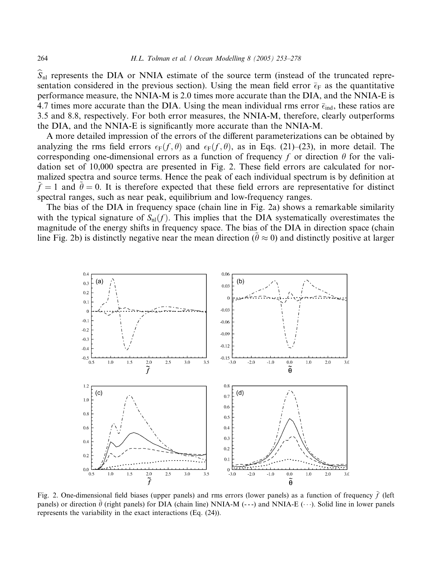$S<sub>nl</sub>$  represents the DIA or NNIA estimate of the source term (instead of the truncated representation considered in the previous section). Using the mean field error  $\bar{\epsilon}_F$  as the quantitative performance measure, the NNIA-M is 2.0 times more accurate than the DIA, and the NNIA-E is 4.7 times more accurate than the DIA. Using the mean individual rms error  $\bar{\epsilon}_{ind}$ , these ratios are 3.5 and 8.8, respectively. For both error measures, the NNIA-M, therefore, clearly outperforms the DIA, and the NNIA-E is significantlymore accurate than the NNIA-M.

A more detailed impression of the errors of the different parameterizations can be obtained by analyzing the rms field errors  $\epsilon_F(f, \theta)$  and  $\epsilon_F(f, \theta)$ , as in Eqs. (21)–(23), in more detail. The corresponding one-dimensional errors as a function of frequency f or direction  $\theta$  for the validation set of 10,000 spectra are presented in Fig. 2. These field errors are calculated for normalized spectra and source terms. Hence the peak of each individual spectrum is bydefinition at  $f = 1$  and  $\theta = 0$ . It is therefore expected that these field errors are representative for distinct spectral ranges, such as near peak, equilibrium and low-frequency ranges.

The bias of the DIA in frequency space (chain line in Fig. 2a) shows a remarkable similarity with the typical signature of  $S<sub>nl</sub>(f)$ . This implies that the DIA systematically overestimates the magnitude of the energy shifts in frequency space. The bias of the DIA in direction space (chain line Fig. 2b) is distinctly negative near the mean direction ( $\theta \approx 0$ ) and distinctly positive at larger



Fig. 2. One-dimensional field biases (upper panels) and rms errors (lower panels) as a function of frequency  $f$  (left panels) or direction  $\hat{\theta}$  (right panels) for DIA (chain line) NNIA-M (---) and NNIA-E ( $\cdots$ ). Solid line in lower panels represents the variability in the exact interactions  $(Eq. (24))$ .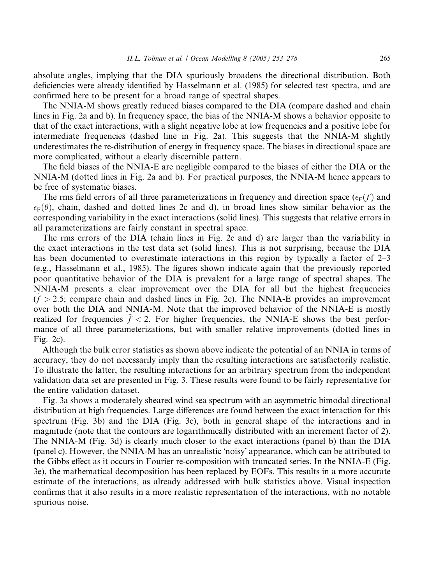absolute angles, implying that the DIA spuriously broadens the directional distribution. Both deficiencies were already identified by Hasselmann et al. (1985) for selected test spectra, and are confirmed here to be present for a broad range of spectral shapes.

The NNIA-M shows greatly reduced biases compared to the DIA (compare dashed and chain lines in Fig. 2a and b). In frequency space, the bias of the NNIA-M shows a behavior opposite to that of the exact interactions, with a slight negative lobe at low frequencies and a positive lobe for intermediate frequencies (dashed line in Fig. 2a). This suggests that the NNIA-M slightly underestimates the re-distribution of energy in frequency space. The biases in directional space are more complicated, without a clearly discernible pattern.

The field biases of the NNIA-E are negligible compared to the biases of either the DIA or the NNIA-M (dotted lines in Fig. 2a and b). For practical purposes, the NNIA-M hence appears to be free of systematic biases.

The rms field errors of all three parameterizations in frequency and direction space ( $\epsilon_F(f)$ ) and  $\epsilon_F(\theta)$ , chain, dashed and dotted lines 2c and d), in broad lines show similar behavior as the corresponding variability in the exact interactions (solid lines). This suggests that relative errors in all parameterizations are fairly constant in spectral space.

The rms errors of the DIA (chain lines in Fig. 2c and d) are larger than the variabilityin the exact interactions in the test data set (solid lines). This is not surprising, because the DIA has been documented to overestimate interactions in this region by typically a factor of  $2-3$ (e.g., Hasselmann et al., 1985). The figures shown indicate again that the previouslyreported poor quantitative behavior of the DIA is prevalent for a large range of spectral shapes. The NNIA-M presents a clear improvement over the DIA for all but the highest frequencies  $(f > 2.5$ ; compare chain and dashed lines in Fig. 2c). The NNIA-E provides an improvement over both the DIA and NNIA-M. Note that the improved behavior of the NNIA-E is mostly realized for frequencies  $f < 2$ . For higher frequencies, the NNIA-E shows the best performance of all three parameterizations, but with smaller relative improvements (dotted lines in Fig. 2c).

Although the bulk error statistics as shown above indicate the potential of an NNIA in terms of accuracy, they do not necessarily imply than the resulting interactions are satisfactorily realistic. To illustrate the latter, the resulting interactions for an arbitraryspectrum from the independent validation data set are presented in Fig. 3. These results were found to be fairlyrepresentative for the entire validation dataset.

Fig. 3a shows a moderatelysheared wind sea spectrum with an asymmetric bimodal directional distribution at high frequencies. Large differences are found between the exact interaction for this spectrum (Fig. 3b) and the DIA (Fig. 3c), both in general shape of the interactions and in magnitude (note that the contours are logarithmically distributed with an increment factor of 2). The NNIA-M (Fig. 3d) is clearlymuch closer to the exact interactions (panel b) than the DIA (panel c). However, the NNIA-M has an unrealistic 'noisy' appearance, which can be attributed to the Gibbs effect as it occurs in Fourier re-composition with truncated series. In the NNIA-E (Fig. 3e), the mathematical decomposition has been replaced byEOFs. This results in a more accurate estimate of the interactions, as alreadyaddressed with bulk statistics above. Visual inspection confirms that it also results in a more realistic representation of the interactions, with no notable spurious noise.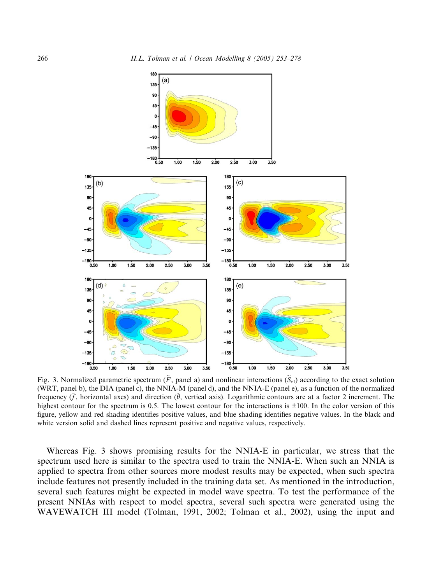

Fig. 3. Normalized parametric spectrum ( $\overline{F}$ , panel a) and nonlinear interactions ( $S_{nl}$ ) according to the exact solution (WRT, panel b), the DIA (panel c), the NNIA-M (panel d), and the NNIA-E (panel e), as a function of the normalized frequency  $(\tilde{f})$ , horizontal axes) and direction  $(\tilde{\theta})$ , vertical axis). Logarithmic contours are at a factor 2 increment. The highest contour for the spectrum is 0.5. The lowest contour for the interactions is  $\pm 100$ . In the color version of this figure, yellow and red shading identifies positive values, and blue shading identifies negative values. In the black and white version solid and dashed lines represent positive and negative values, respectively.

Whereas Fig. 3 shows promising results for the NNIA-E in particular, we stress that the spectrum used here is similar to the spectra used to train the NNIA-E. When such an NNIA is applied to spectra from other sources more modest results maybe expected, when such spectra include features not presently included in the training data set. As mentioned in the introduction, several such features might be expected in model wave spectra. To test the performance of the present NNIAs with respect to model spectra, several such spectra were generated using the WAVEWATCH III model (Tolman, 1991, 2002; Tolman et al., 2002), using the input and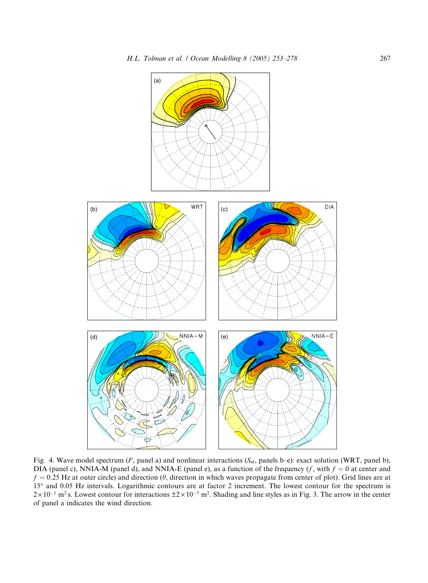

Fig. 4. Wave model spectrum  $(F,$  panel a) and nonlinear interactions  $(S_{nl},$  panels b–e): exact solution (WRT, panel b), DIA (panel c), NNIA-M (panel d), and NNIA-E (panel e), as a function of the frequency (f, with  $f = 0$  at center and  $f = 0.25$  Hz at outer circle) and direction ( $\theta$ , direction in which waves propagate from center of plot). Grid lines are at 15° and 0.05 Hz intervals. Logarithmic contours are at factor 2 increment. The lowest contour for the spectrum is  $2 \times 10^{-1}$  m<sup>2</sup> s. Lowest contour for interactions  $\pm 2 \times 10^{-5}$  m<sup>2</sup>. Shading and line styles as in Fig. 3. The arrow in the center of panel a indicates the wind direction.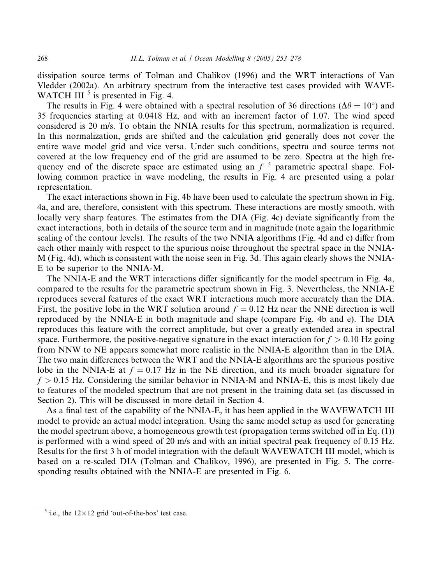dissipation source terms of Tolman and Chalikov (1996) and the WRT interactions of Van Vledder (2002a). An arbitrary spectrum from the interactive test cases provided with WAVE-WATCH III<sup>5</sup> is presented in Fig. 4.

The results in Fig. 4 were obtained with a spectral resolution of 36 directions ( $\Delta\theta = 10^{\circ}$ ) and 35 frequencies starting at 0.0418 Hz, and with an increment factor of 1.07. The wind speed considered is 20 m/s. To obtain the NNIA results for this spectrum, normalization is required. In this normalization, grids are shifted and the calculation grid generally does not cover the entire wave model grid and vice versa. Under such conditions, spectra and source terms not covered at the low frequency end of the grid are assumed to be zero. Spectra at the high frequency end of the discrete space are estimated using an  $f^{-5}$  parametric spectral shape. Following common practice in wave modeling, the results in Fig. 4 are presented using a polar representation.

The exact interactions shown in Fig. 4b have been used to calculate the spectrum shown in Fig. 4a, and are, therefore, consistent with this spectrum. These interactions are mostlysmooth, with locally very sharp features. The estimates from the DIA (Fig. 4c) deviate significantly from the exact interactions, both in details of the source term and in magnitude (note again the logarithmic scaling of the contour levels). The results of the two NNIA algorithms (Fig. 4d and e) differ from each other mainlywith respect to the spurious noise throughout the spectral space in the NNIA-M (Fig. 4d), which is consistent with the noise seen in Fig. 3d. This again clearlyshows the NNIA-E to be superior to the NNIA-M.

The NNIA-E and the WRT interactions differ significantly for the model spectrum in Fig. 4a, compared to the results for the parametric spectrum shown in Fig. 3. Nevertheless, the NNIA-E reproduces several features of the exact WRT interactions much more accurately than the DIA. First, the positive lobe in the WRT solution around  $f = 0.12$  Hz near the NNE direction is well reproduced bythe NNIA-E in both magnitude and shape (compare Fig. 4b and e). The DIA reproduces this feature with the correct amplitude, but over a greatlyextended area in spectral space. Furthermore, the positive-negative signature in the exact interaction for  $f > 0.10$  Hz going from NNW to NE appears somewhat more realistic in the NNIA-E algorithm than in the DIA. The two main differences between the WRT and the NNIA-E algorithms are the spurious positive lobe in the NNIA-E at  $f = 0.17$  Hz in the NE direction, and its much broader signature for  $f > 0.15$  Hz. Considering the similar behavior in NNIA-M and NNIA-E, this is most likely due to features of the modeled spectrum that are not present in the training data set (as discussed in Section 2). This will be discussed in more detail in Section 4.

As a final test of the capability of the NNIA-E, it has been applied in the WAVEWATCH III model to provide an actual model integration. Using the same model setup as used for generating the model spectrum above, a homogeneous growth test (propagation terms switched off in Eq. (1)) is performed with a wind speed of 20 m/s and with an initial spectral peak frequency of 0.15 Hz. Results for the first 3 h of model integration with the default WAVEWATCH III model, which is based on a re-scaled DIA (Tolman and Chalikov, 1996), are presented in Fig. 5. The corresponding results obtained with the NNIA-E are presented in Fig. 6.

 $5$  i.e., the  $12 \times 12$  grid 'out-of-the-box' test case.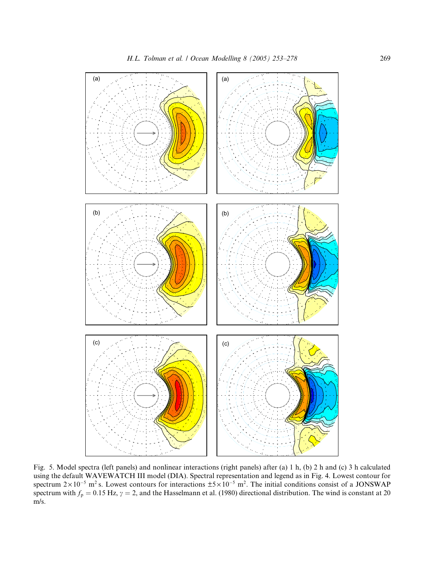

Fig. 5. Model spectra (left panels) and nonlinear interactions (right panels) after (a) 1 h, (b) 2 h and (c) 3 h calculated using the default WAVEWATCH III model (DIA). Spectral representation and legend as in Fig. 4. Lowest contour for spectrum  $2 \times 10^{-5}$  m<sup>2</sup> s. Lowest contours for interactions  $\pm 5 \times 10^{-5}$  m<sup>2</sup>. The initial conditions consist of a JONSWAP spectrum with  $f_p = 0.15$  Hz,  $\gamma = 2$ , and the Hasselmann et al. (1980) directional distribution. The wind is constant at 20 m/s.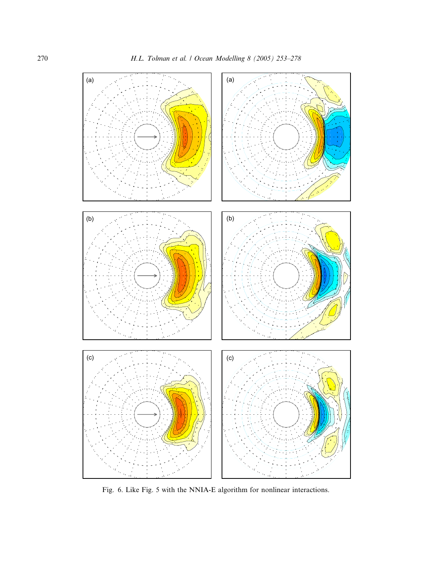

Fig. 6. Like Fig. 5 with the NNIA-E algorithm for nonlinear interactions.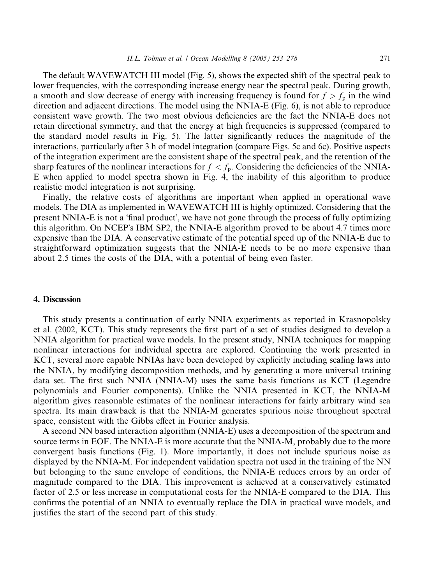The default WAVEWATCH III model (Fig. 5), shows the expected shift of the spectral peak to lower frequencies, with the corresponding increase energy near the spectral peak. During growth, a smooth and slow decrease of energy with increasing frequency is found for  $f > f_p$  in the wind direction and adjacent directions. The model using the NNIA-E (Fig. 6), is not able to reproduce consistent wave growth. The two most obvious deficiencies are the fact the NNIA-E does not retain directional symmetry, and that the energy at high frequencies is suppressed (compared to the standard model results in Fig. 5). The latter significantlyreduces the magnitude of the interactions, particularlyafter 3 h of model integration (compare Figs. 5c and 6c). Positive aspects of the integration experiment are the consistent shape of the spectral peak, and the retention of the sharp features of the nonlinear interactions for  $f < f_p$ . Considering the deficiencies of the NNIA-E when applied to model spectra shown in Fig. 4, the inabilityof this algorithm to produce realistic model integration is not surprising.

Finally, the relative costs of algorithms are important when applied in operational wave models. The DIA as implemented in WAVEWATCH III is highly optimized. Considering that the present NNIA-E is not a 'final product', we have not gone through the process of fully optimizing this algorithm. On NCEP's IBM SP2, the NNIA-E algorithm proved to be about 4.7 times more expensive than the DIA. A conservative estimate of the potential speed up of the NNIA-E due to straightforward optimization suggests that the NNIA-E needs to be no more expensive than about 2.5 times the costs of the DIA, with a potential of being even faster.

# 4. Discussion

This study presents a continuation of early NNIA experiments as reported in Krasnopolsky et al. (2002, KCT). This study represents the first part of a set of studies designed to develop a NNIA algorithm for practical wave models. In the present study, NNIA techniques for mapping nonlinear interactions for individual spectra are explored. Continuing the work presented in KCT, several more capable NNIAs have been developed byexplicitlyincluding scaling laws into the NNIA, bymodifying decomposition methods, and bygenerating a more universal training data set. The first such NNIA (NNIA-M) uses the same basis functions as KCT (Legendre polynomials and Fourier components). Unlike the NNIA presented in KCT, the NNIA-M algorithm gives reasonable estimates of the nonlinear interactions for fairlyarbitrarywind sea spectra. Its main drawback is that the NNIA-M generates spurious noise throughout spectral space, consistent with the Gibbs effect in Fourier analysis.

A second NN based interaction algorithm (NNIA-E) uses a decomposition of the spectrum and source terms in EOF. The NNIA-E is more accurate that the NNIA-M, probably due to the more convergent basis functions (Fig. 1). More importantly, it does not include spurious noise as displayed by the NNIA-M. For independent validation spectra not used in the training of the NN but belonging to the same envelope of conditions, the NNIA-E reduces errors byan order of magnitude compared to the DIA. This improvement is achieved at a conservativelyestimated factor of 2.5 or less increase in computational costs for the NNIA-E compared to the DIA. This confirms the potential of an NNIA to eventually replace the DIA in practical wave models, and justifies the start of the second part of this study.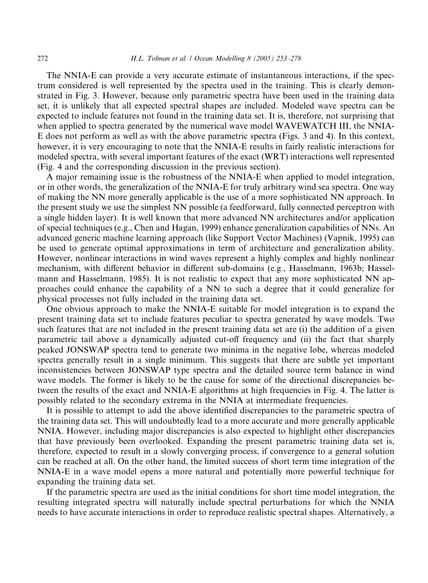The NNIA-E can provide a very accurate estimate of instantaneous interactions, if the spectrum considered is well represented by the spectra used in the training. This is clearly demonstrated in Fig. 3. However, because only parametric spectra have been used in the training data set, it is unlikely that all expected spectral shapes are included. Modeled wave spectra can be expected to include features not found in the training data set. It is, therefore, not surprising that when applied to spectra generated by the numerical wave model WAVEWATCH III, the NNIA-E does not perform as well as with the above parametric spectra (Figs. 3 and 4). In this context, however, it is very encouraging to note that the NNIA-E results in fairly realistic interactions for modeled spectra, with several important features of the exact (WRT) interactions well represented (Fig. 4 and the corresponding discussion in the previous section).

A major remaining issue is the robustness of the NNIA-E when applied to model integration, or in other words, the generalization of the NNIA-E for trulyarbitrarywind sea spectra. One way of making the NN more generallyapplicable is the use of a more sophisticated NN approach. In the present study we use the simplest NN possible (a feedforward, fully connected perceptron with a single hidden layer). It is well known that more advanced NN architectures and/or application of special techniques (e.g., Chen and Hagan, 1999) enhance generalization capabilities of NNs. An advanced generic machine learning approach (like Support Vector Machines) (Vapnik, 1995) can be used to generate optimal approximations in term of architecture and generalization ability. However, nonlinear interactions in wind waves represent a highly complex and highly nonlinear mechanism, with different behavior in different sub-domains (e.g., Hasselmann, 1963b; Hasselmann and Hasselmann, 1985). It is not realistic to expect that anymore sophisticated NN approaches could enhance the capabilityof a NN to such a degree that it could generalize for physical processes not fully included in the training data set.

One obvious approach to make the NNIA-E suitable for model integration is to expand the present training data set to include features peculiar to spectra generated bywave models. Two such features that are not included in the present training data set are (i) the addition of a given parametric tail above a dynamically adjusted cut-off frequency and (ii) the fact that sharply peaked JONSWAP spectra tend to generate two minima in the negative lobe, whereas modeled spectra generally result in a single minimum. This suggests that there are subtle yet important inconsistencies between JONSWAP type spectra and the detailed source term balance in wind wave models. The former is likely to be the cause for some of the directional discrepancies between the results of the exact and NNIA-E algorithms at high frequencies in Fig. 4. The latter is possibly related to the secondary extrema in the NNIA at intermediate frequencies.

It is possible to attempt to add the above identified discrepancies to the parametric spectra of the training data set. This will undoubtedlylead to a more accurate and more generallyapplicable NNIA. However, including major discrepancies is also expected to highlight other discrepancies that have previouslybeen overlooked. Expanding the present parametric training data set is, therefore, expected to result in a slowlyconverging process, if convergence to a general solution can be reached at all. On the other hand, the limited success of short term time integration of the NNIA-E in a wave model opens a more natural and potentiallymore powerful technique for expanding the training data set.

If the parametric spectra are used as the initial conditions for short time model integration, the resulting integrated spectra will naturally include spectral perturbations for which the NNIA needs to have accurate interactions in order to reproduce realistic spectral shapes. Alternatively, a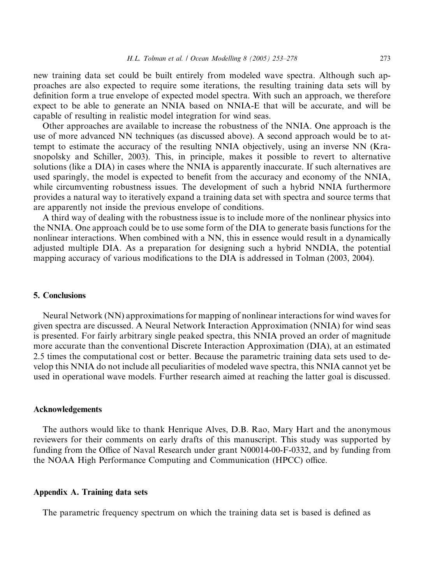new training data set could be built entirely from modeled wave spectra. Although such approaches are also expected to require some iterations, the resulting training data sets will by definition form a true envelope of expected model spectra. With such an approach, we therefore expect to be able to generate an NNIA based on NNIA-E that will be accurate, and will be capable of resulting in realistic model integration for wind seas.

Other approaches are available to increase the robustness of the NNIA. One approach is the use of more advanced NN techniques (as discussed above). A second approach would be to attempt to estimate the accuracy of the resulting NNIA objectively, using an inverse NN (Krasnopolskyand Schiller, 2003). This, in principle, makes it possible to revert to alternative solutions (like a DIA) in cases where the NNIA is apparently inaccurate. If such alternatives are used sparingly, the model is expected to benefit from the accuracy and economy of the NNIA, while circumventing robustness issues. The development of such a hybrid NNIA furthermore provides a natural wayto iterativelyexpand a training data set with spectra and source terms that are apparently not inside the previous envelope of conditions.

A third wayof dealing with the robustness issue is to include more of the nonlinear physics into the NNIA. One approach could be to use some form of the DIA to generate basis functions for the nonlinear interactions. When combined with a NN, this in essence would result in a dynamically adjusted multiple DIA. As a preparation for designing such a hybrid NNDIA, the potential mapping accuracy of various modifications to the DIA is addressed in Tolman (2003, 2004).

## 5. Conclusions

Neural Network (NN) approximations for mapping of nonlinear interactions for wind waves for given spectra are discussed. A Neural Network Interaction Approximation (NNIA) for wind seas is presented. For fairly arbitrary single peaked spectra, this NNIA proved an order of magnitude more accurate than the conventional Discrete Interaction Approximation (DIA), at an estimated 2.5 times the computational cost or better. Because the parametric training data sets used to develop this NNIA do not include all peculiarities of modeled wave spectra, this NNIA cannot yet be used in operational wave models. Further research aimed at reaching the latter goal is discussed.

#### Acknowledgements

The authors would like to thank Henrique Alves, D.B. Rao, Mary Hart and the anonymous reviewers for their comments on early drafts of this manuscript. This study was supported by funding from the Office of Naval Research under grant N00014-00-F-0332, and by funding from the NOAA High Performance Computing and Communication (HPCC) office.

### Appendix A. Training data sets

The parametric frequency spectrum on which the training data set is based is defined as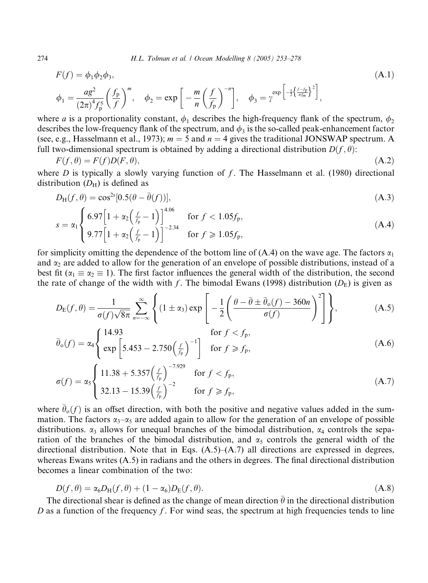274 H.L. Tolman et al. / Ocean Modelling 8 (2005) 253–278

$$
F(f) = \phi_1 \phi_2 \phi_3,
$$
\n
$$
\phi_1 = \frac{ag^2}{(2\pi)^4 f_p^5} \left(\frac{f_p}{f}\right)^m, \quad \phi_2 = \exp\left[-\frac{m}{n} \left(\frac{f}{f_p}\right)^{-n}\right], \quad \phi_3 = \gamma^{\exp\left[-\frac{1}{2}\left\{\frac{f-f_p}{\sigma f_m}\right\}^2\right]},
$$
\n(A.1)

where a is a proportionality constant,  $\phi_1$  describes the high-frequency flank of the spectrum,  $\phi_2$ describes the low-frequency flank of the spectrum, and  $\phi_3$  is the so-called peak-enhancement factor (see, e.g., Hasselmann et al., 1973);  $m = 5$  and  $n = 4$  gives the traditional JONSWAP spectrum. A full two-dimensional spectrum is obtained by adding a directional distribution  $D(f, \theta)$ :

$$
F(f, \theta) = F(f)D(F, \theta),\tag{A.2}
$$

where D is typically a slowly varying function of  $f$ . The Hasselmann et al. (1980) directional distribution  $(D_H)$  is defined as

$$
D_{\rm H}(f,\theta) = \cos^{2s} [0.5(\theta - \bar{\theta}(f))],\tag{A.3}
$$

$$
s = \alpha_1 \begin{cases} 6.97 \left[ 1 + \alpha_2 \left( \frac{f}{f_p} - 1 \right) \right]^{4.06} & \text{for } f < 1.05 f_p, \\ 9.77 \left[ 1 + \alpha_2 \left( \frac{f}{f_p} - 1 \right) \right]^{-2.34} & \text{for } f \geqslant 1.05 f_p, \end{cases} \tag{A.4}
$$

for simplicity omitting the dependence of the bottom line of (A.4) on the wave age. The factors  $\alpha_1$ and  $\alpha_2$  are added to allow for the generation of an envelope of possible distributions, instead of a best fit ( $\alpha_1 \equiv \alpha_2 \equiv 1$ ). The first factor influences the general width of the distribution, the second the rate of change of the width with f. The bimodal Ewans (1998) distribution  $(D<sub>E</sub>)$  is given as

$$
D_{\rm E}(f,\theta) = \frac{1}{\sigma(f)\sqrt{8\pi}} \sum_{n=-\infty}^{\infty} \left\{ (1 \pm \alpha_3) \exp\left[ -\frac{1}{2} \left( \frac{\theta - \bar{\theta} \pm \bar{\theta}_o(f) - 360n}{\sigma(f)} \right)^2 \right] \right\},\tag{A.5}
$$

$$
\bar{\theta}_{o}(f) = \alpha_{4} \begin{cases} 14.93 & \text{for } f < f_{p}, \\ \exp\left[5.453 - 2.750\left(\frac{f}{f_{p}}\right)^{-1}\right] & \text{for } f \ge f_{p}, \end{cases}
$$
(A.6)

$$
\sigma(f) = \alpha_5 \begin{cases} 11.38 + 5.357 \left(\frac{f}{f_p}\right)^{-7.929} & \text{for } f < f_p, \\ 32.13 - 15.39 \left(\frac{f}{f_p}\right)^{-2} & \text{for } f \ge f_p, \end{cases}
$$
(A.7)

where  $\theta_{o}(f)$  is an offset direction, with both the positive and negative values added in the summation. The factors  $\alpha_3-\alpha_5$  are added again to allow for the generation of an envelope of possible distributions.  $\alpha_3$  allows for unequal branches of the bimodal distribution,  $\alpha_4$  controls the separation of the branches of the bimodal distribution, and  $\alpha_5$  controls the general width of the directional distribution. Note that in Eqs.  $(A.5)$ – $(A.7)$  all directions are expressed in degrees, whereas Ewans writes (A.5) in radians and the others in degrees. The final directional distribution becomes a linear combination of the two:

$$
D(f, \theta) = \alpha_6 D_H(f, \theta) + (1 - \alpha_6) D_E(f, \theta).
$$
\n(A.8)

The directional shear is defined as the change of mean direction  $\bar{\theta}$  in the directional distribution D as a function of the frequency  $f$ . For wind seas, the spectrum at high frequencies tends to line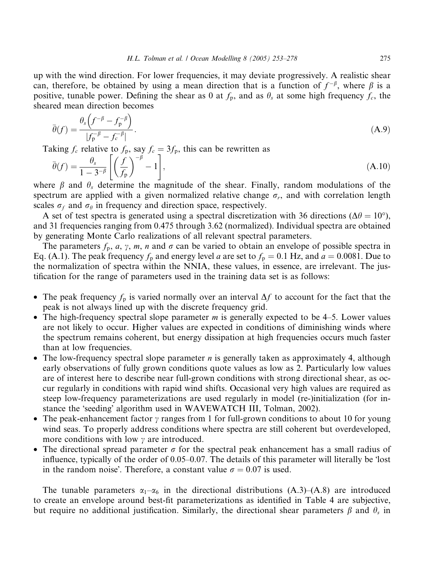up with the wind direction. For lower frequencies, it maydeviate progressively. A realistic shear can, therefore, be obtained by using a mean direction that is a function of  $f^{-\beta}$ , where  $\beta$  is a positive, tunable power. Defining the shear as 0 at  $f_p$ , and as  $\theta_s$  at some high frequency  $f_c$ , the sheared mean direction becomes

$$
\bar{\theta}(f) = \frac{\theta_s \left(f^{-\beta} - f_p^{-\beta}\right)}{|f_p^{-\beta} - f_c^{-\beta}|}.
$$
\n(A.9)

Taking  $f_c$  relative to  $f_p$ , say  $f_c = 3f_p$ , this can be rewritten as

$$
\bar{\theta}(f) = \frac{\theta_s}{1 - 3^{-\beta}} \left[ \left( \frac{f}{f_p} \right)^{-\beta} - 1 \right],\tag{A.10}
$$

where  $\beta$  and  $\theta_s$  determine the magnitude of the shear. Finally, random modulations of the spectrum are applied with a given normalized relative change  $\sigma_r$ , and with correlation length scales  $\sigma_f$  and  $\sigma_\theta$  in frequency and direction space, respectively.

A set of test spectra is generated using a spectral discretization with 36 directions ( $\Delta\theta = 10^{\circ}$ ), and 31 frequencies ranging from 0.475 through 3.62 (normalized). Individual spectra are obtained bygenerating Monte Carlo realizations of all relevant spectral parameters.

The parameters  $f_p$ , a,  $\gamma$ , m, n and  $\sigma$  can be varied to obtain an envelope of possible spectra in Eq. (A.1). The peak frequency  $f_p$  and energy level a are set to  $f_p = 0.1$  Hz, and  $a = 0.0081$ . Due to the normalization of spectra within the NNIA, these values, in essence, are irrelevant. The justification for the range of parameters used in the training data set is as follows:

- The peak frequency  $f_p$  is varied normally over an interval  $\Delta f$  to account for the fact that the peak is not always lined up with the discrete frequency grid.
- The high-frequency spectral slope parameter m is generally expected to be  $4-5$ . Lower values are not likely to occur. Higher values are expected in conditions of diminishing winds where the spectrum remains coherent, but energydissipation at high frequencies occurs much faster than at low frequencies.
- The low-frequency spectral slope parameter  $n$  is generally taken as approximately 4, although early observations of fully grown conditions quote values as low as 2. Particularly low values are of interest here to describe near full-grown conditions with strong directional shear, as occur regularly in conditions with rapid wind shifts. Occasional very high values are required as steep low-frequency parameterizations are used regularly in model (re-)initialization (for instance the 'seeding' algorithm used in WAVEWATCH III, Tolman, 2002).
- The peak-enhancement factor  $\gamma$  ranges from 1 for full-grown conditions to about 10 for young wind seas. To properly address conditions where spectra are still coherent but overdeveloped, more conditions with low  $\gamma$  are introduced.
- The directional spread parameter  $\sigma$  for the spectral peak enhancement has a small radius of influence, typically of the order of  $0.05-0.07$ . The details of this parameter will literally be 'lost in the random noise'. Therefore, a constant value  $\sigma = 0.07$  is used.

The tunable parameters  $\alpha_1-\alpha_6$  in the directional distributions (A.3)–(A.8) are introduced to create an envelope around best-fit parameterizations as identified in Table 4 are subjective, but require no additional justification. Similarly, the directional shear parameters  $\beta$  and  $\theta$ , in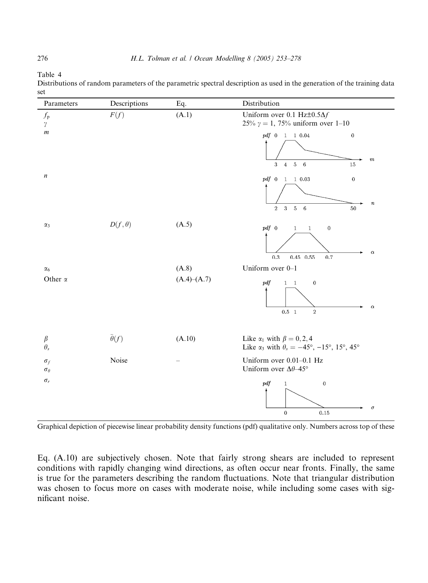Table 4

| Parameters                    | Descriptions      | Eq.         | Distribution                                                                                                         |
|-------------------------------|-------------------|-------------|----------------------------------------------------------------------------------------------------------------------|
| $f_{\rm p}$<br>$\gamma$       | F(f)              | (A.1)       | Uniform over 0.1 Hz $\pm$ 0.5 $\Delta f$<br>25% $\gamma = 1, 75%$ uniform over 1–10                                  |
| $\,m$                         |                   |             | $pdf\ 0\ 1\ 1\ 0.04$<br>$\boldsymbol{0}$<br>$\boldsymbol{m}$<br>$4\quad 5\quad 6$<br>$\overline{3}$<br>$15\,$        |
| $\boldsymbol{n}$              |                   |             | $pdf\ 0\ 1\ 1\ 0.03$<br>$\boldsymbol{0}$<br>$\pmb{n}$<br>$\sqrt{2}$<br>$3\phantom{.0}$<br>$5\quad 6$<br>$50\,$       |
| $\alpha_3$                    | $D(f, \theta)$    | (A.5)       | $pdf\_0$<br>$\boldsymbol{0}$<br>$1\,$<br>$1\,$<br>$\alpha$<br>$0.45$ 0.55<br>0.3<br>0.7                              |
| $\alpha_6$                    |                   | (A.8)       | Uniform over 0-1                                                                                                     |
| Other $\alpha$                |                   | (A.4)–(A.7) | pdf<br>$\boldsymbol{0}$<br>$1\quad 1$<br>$\alpha$<br>$\sqrt{2}$<br>$0.5\quad 1$                                      |
| $\beta$<br>$\theta_s$         | $\bar{\theta}(f)$ | (A.10)      | Like $\alpha_1$ with $\beta = 0, 2, 4$<br>Like $\alpha_3$ with $\theta_s = -45^\circ, -15^\circ, 15^\circ, 45^\circ$ |
| $\sigma_f$<br>$\sigma_\theta$ | Noise             |             | Uniform over 0.01-0.1 Hz<br>Uniform over $\Delta\theta - 45^{\circ}$                                                 |
| $\sigma_r$                    |                   |             | $\boldsymbol{0}$<br>pdf<br>$\,1$<br>$\sigma$<br>$\pmb{0}$<br>0.15                                                    |

Distributions of random parameters of the parametric spectral description as used in the generation of the training data set

Graphical depiction of piecewise linear probability density functions (pdf) qualitative only. Numbers across top of these

Eq.  $(A.10)$  are subjectively chosen. Note that fairly strong shears are included to represent conditions with rapidly changing wind directions, as often occur near fronts. Finally, the same is true for the parameters describing the random fluctuations. Note that triangular distribution was chosen to focus more on cases with moderate noise, while including some cases with significant noise.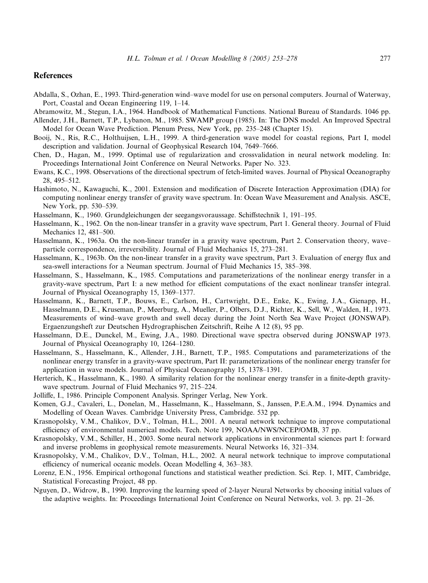#### References

- Abdalla, S., Ozhan, E., 1993. Third-generation wind–wave model for use on personal computers. Journal of Waterway, Port, Coastal and Ocean Engineering 119, 1–14.
- Abramowitz, M., Stegun, I.A., 1964. Handbook of Mathematical Functions. National Bureau of Standards. 1046 pp.
- Allender, J.H., Barnett, T.P., Lybanon, M., 1985. SWAMP group (1985). In: The DNS model. An Improved Spectral Model for Ocean Wave Prediction. Plenum Press, New York, pp. 235–248 (Chapter 15).
- Booij, N., Ris, R.C., Holthuijsen, L.H., 1999. A third-generation wave model for coastal regions, Part I, model description and validation. Journal of Geophysical Research 104, 7649–7666.
- Chen, D., Hagan, M., 1999. Optimal use of regularization and crossvalidation in neural network modeling. In: Proceedings International Joint Conference on Neural Networks. Paper No. 323.
- Ewans, K.C., 1998. Observations of the directional spectrum of fetch-limited waves. Journal of Physical Oceanography 28, 495–512.
- Hashimoto, N., Kawaguchi, K., 2001. Extension and modification of Discrete Interaction Approximation (DIA) for computing nonlinear energytransfer of gravitywave spectrum. In: Ocean Wave Measurement and Analysis. ASCE, New York, pp. 530–539.
- Hasselmann, K., 1960. Grundgleichungen der seegangsvoraussage. Schiffstechnik 1, 191–195.
- Hasselmann, K., 1962. On the non-linear transfer in a gravity wave spectrum, Part 1. General theory. Journal of Fluid Mechanics 12, 481–500.
- Hasselmann, K., 1963a. On the non-linear transfer in a gravity wave spectrum, Part 2. Conservation theory, wave– particle correspondence, irreversibility. Journal of Fluid Mechanics 15, 273–281.
- Hasselmann, K., 1963b. On the non-linear transfer in a gravity wave spectrum, Part 3. Evaluation of energy flux and sea-swell interactions for a Neuman spectrum. Journal of Fluid Mechanics 15, 385–398.
- Hasselmann, S., Hasselmann, K., 1985. Computations and parameterizations of the nonlinear energytransfer in a gravity-wave spectrum, Part I: a new method for efficient computations of the exact nonlinear transfer integral. Journal of Physical Oceanography 15, 1369–1377.
- Hasselmann, K., Barnett, T.P., Bouws, E., Carlson, H., Cartwright, D.E., Enke, K., Ewing, J.A., Gienapp, H., Hasselmann, D.E., Kruseman, P., Meerburg, A., Mueller, P., Olbers, D.J., Richter, K., Sell, W., Walden, H., 1973. Measurements of wind–wave growth and swell decayduring the Joint North Sea Wave Project (JONSWAP). Ergaenzungsheft zur Deutschen Hydrographischen Zeitschrift, Reihe A 12 (8), 95 pp.
- Hasselmann, D.E., Dunckel, M., Ewing, J.A., 1980. Directional wave spectra observed during JONSWAP 1973. Journal of Physical Oceanography 10, 1264–1280.
- Hasselmann, S., Hasselmann, K., Allender, J.H., Barnett, T.P., 1985. Computations and parameterizations of the nonlinear energytransfer in a gravity-wave spectrum, Part II: parameterizations of the nonlinear energytransfer for application in wave models. Journal of Physical Oceanography 15, 1378–1391.
- Herterich, K., Hasselmann, K., 1980. A similarity relation for the nonlinear energy transfer in a finite-depth gravitywave spectrum. Journal of Fluid Mechanics 97, 215–224.
- Jolliffe, I., 1986. Principle Component Analysis. Springer Verlag, New York.
- Komen, G.J., Cavaleri, L., Donelan, M., Hasselmann, K., Hasselmann, S., Janssen, P.E.A.M., 1994. Dynamics and Modelling of Ocean Waves. Cambridge University Press, Cambridge. 532 pp.
- Krasnopolsky, V.M., Chalikov, D.V., Tolman, H.L., 2001. A neural network technique to improve computational efficiency of environmental numerical models. Tech. Note 199, NOAA/NWS/NCEP/OMB, 37 pp.
- Krasnopolsky, V.M., Schiller, H., 2003. Some neural network applications in environmental sciences part I: forward and inverse problems in geophysical remote measurements. Neural Networks 16, 321–334.
- Krasnopolsky, V.M., Chalikov, D.V., Tolman, H.L., 2002. A neural network technique to improve computational efficiency of numerical oceanic models. Ocean Modelling 4, 363–383.
- Lorenz, E.N., 1956. Empirical orthogonal functions and statistical weather prediction. Sci. Rep. 1, MIT, Cambridge, Statistical Forecasting Project, 48 pp.
- Nguyen, D., Widrow, B., 1990. Improving the learning speed of 2-layer Neural Networks by choosing initial values of the adaptive weights. In: Proceedings International Joint Conference on Neural Networks, vol. 3. pp. 21–26.